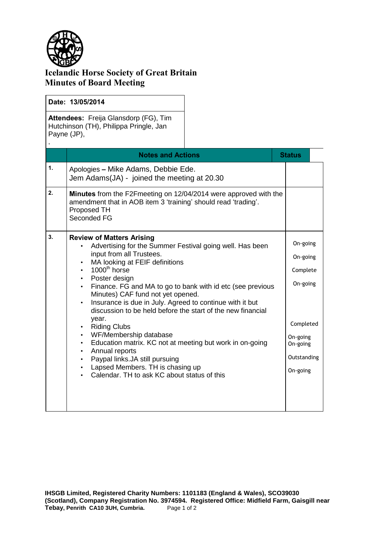

,

## **Icelandic Horse Society of Great Britain Minutes of Board Meeting**

| Date: 13/05/2014 |
|------------------|
|                  |

**Attendees:** Freija Glansdorp (FG), Tim Hutchinson (TH), Philippa Pringle, Jan Payne (JP),

|                | <b>Notes and Actions</b>                                                                                                                                                                                                                                                                                                                                                                                                                                                                                                                                                                                                                                                                                                                                                                                   | <b>Status</b>                                                                                                |
|----------------|------------------------------------------------------------------------------------------------------------------------------------------------------------------------------------------------------------------------------------------------------------------------------------------------------------------------------------------------------------------------------------------------------------------------------------------------------------------------------------------------------------------------------------------------------------------------------------------------------------------------------------------------------------------------------------------------------------------------------------------------------------------------------------------------------------|--------------------------------------------------------------------------------------------------------------|
| $\mathbf{1}$ . | Apologies - Mike Adams, Debbie Ede.<br>Jem Adams(JA) - joined the meeting at 20.30                                                                                                                                                                                                                                                                                                                                                                                                                                                                                                                                                                                                                                                                                                                         |                                                                                                              |
| 2.             | <b>Minutes</b> from the F2F meeting on 12/04/2014 were approved with the<br>amendment that in AOB item 3 'training' should read 'trading'.<br>Proposed TH<br>Seconded FG                                                                                                                                                                                                                                                                                                                                                                                                                                                                                                                                                                                                                                   |                                                                                                              |
| 3 <sub>1</sub> | <b>Review of Matters Arising</b><br>Advertising for the Summer Festival going well. Has been<br>input from all Trustees.<br>MA looking at FEIF definitions<br>$\bullet$<br>$1000^{\text{th}}$ horse<br>$\bullet$<br>Poster design<br>$\bullet$<br>Finance. FG and MA to go to bank with id etc (see previous<br>Minutes) CAF fund not yet opened.<br>Insurance is due in July. Agreed to continue with it but<br>$\bullet$<br>discussion to be held before the start of the new financial<br>year.<br><b>Riding Clubs</b><br>$\bullet$<br>WF/Membership database<br>Education matrix. KC not at meeting but work in on-going<br>$\bullet$<br>Annual reports<br>$\bullet$<br>Paypal links.JA still pursuing<br>Lapsed Members. TH is chasing up<br>$\bullet$<br>Calendar. TH to ask KC about status of this | On-going<br>On-going<br>Complete<br>On-going<br>Completed<br>On-going<br>On-going<br>Outstanding<br>On-going |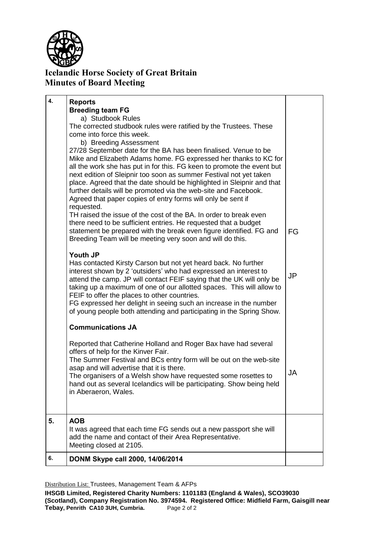

## **Icelandic Horse Society of Great Britain Minutes of Board Meeting**

|    | taking up a maximum of one of our allotted spaces. This will allow to<br>FEIF to offer the places to other countries.<br>FG expressed her delight in seeing such an increase in the number                   |    |
|----|--------------------------------------------------------------------------------------------------------------------------------------------------------------------------------------------------------------|----|
|    | of young people both attending and participating in the Spring Show.                                                                                                                                         |    |
|    | <b>Communications JA</b>                                                                                                                                                                                     |    |
|    | Reported that Catherine Holland and Roger Bax have had several<br>offers of help for the Kinver Fair.<br>The Summer Festival and BCs entry form will be out on the web-site                                  |    |
|    | asap and will advertise that it is there.<br>The organisers of a Welsh show have requested some rosettes to<br>hand out as several Icelandics will be participating. Show being held<br>in Aberaeron, Wales. | JA |
| 5. | <b>AOB</b>                                                                                                                                                                                                   |    |
|    | It was agreed that each time FG sends out a new passport she will<br>add the name and contact of their Area Representative.<br>Meeting closed at 2105.                                                       |    |

Distribution List: Trustees, Management Team & AFPs

**IHSGB Limited, Registered Charity Numbers: 1101183 (England & Wales), SCO39030 (Scotland), Company Registration No. 3974594. Registered Office: Midfield Farm, Gaisgill near Tebay, Penrith CA10 3UH, Cumbria.** Page 2 of 2